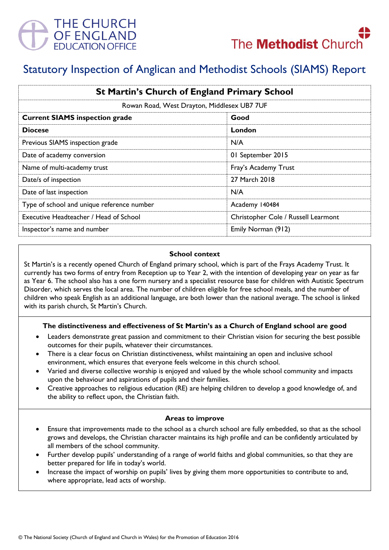



# Statutory Inspection of Anglican and Methodist Schools (SIAMS) Report

| <b>St Martin's Church of England Primary School</b> |                                     |
|-----------------------------------------------------|-------------------------------------|
| Rowan Road, West Drayton, Middlesex UB7 7UF         |                                     |
| <b>Current SIAMS inspection grade</b>               | Good                                |
| <b>Diocese</b>                                      | London                              |
| Previous SIAMS inspection grade                     | N/A                                 |
| Date of academy conversion                          | 01 September 2015                   |
| Name of multi-academy trust                         | Fray's Academy Trust                |
| Date/s of inspection                                | 27 March 2018                       |
| Date of last inspection                             | N/A                                 |
| Type of school and unique reference number          | Academy 140484                      |
| Executive Headteacher / Head of School              | Christopher Cole / Russell Learmont |
| Inspector's name and number                         | Emily Norman (912)                  |

#### **School context**

St Martin's is a recently opened Church of England primary school, which is part of the Frays Academy Trust. It currently has two forms of entry from Reception up to Year 2, with the intention of developing year on year as far as Year 6. The school also has a one form nursery and a specialist resource base for children with Autistic Spectrum Disorder, which serves the local area. The number of children eligible for free school meals, and the number of children who speak English as an additional language, are both lower than the national average. The school is linked with its parish church, St Martin's Church.

# **The distinctiveness and effectiveness of St Martin's as a Church of England school are good**

- Leaders demonstrate great passion and commitment to their Christian vision for securing the best possible outcomes for their pupils, whatever their circumstances.
- There is a clear focus on Christian distinctiveness, whilst maintaining an open and inclusive school environment, which ensures that everyone feels welcome in this church school.
- Varied and diverse collective worship is enjoyed and valued by the whole school community and impacts upon the behaviour and aspirations of pupils and their families.
- Creative approaches to religious education (RE) are helping children to develop a good knowledge of, and the ability to reflect upon, the Christian faith.

#### **Areas to improve**

- Ensure that improvements made to the school as a church school are fully embedded, so that as the school grows and develops, the Christian character maintains its high profile and can be confidently articulated by all members of the school community.
- Further develop pupils' understanding of a range of world faiths and global communities, so that they are better prepared for life in today's world.
- Increase the impact of worship on pupils' lives by giving them more opportunities to contribute to and, where appropriate, lead acts of worship.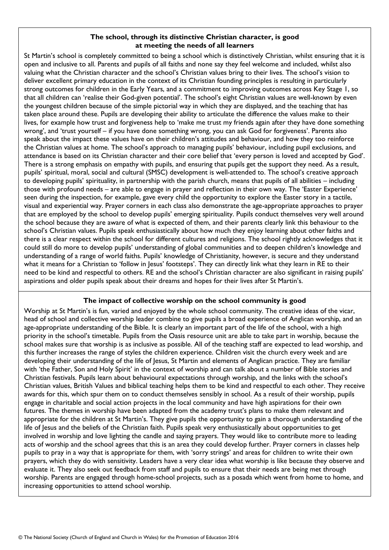# **The school, through its distinctive Christian character, is good at meeting the needs of all learners**

St Martin's school is completely committed to being a school which is distinctively Christian, whilst ensuring that it is open and inclusive to all. Parents and pupils of all faiths and none say they feel welcome and included, whilst also valuing what the Christian character and the school's Christian values bring to their lives. The school's vision to deliver excellent primary education in the context of its Christian founding principles is resulting in particularly strong outcomes for children in the Early Years, and a commitment to improving outcomes across Key Stage 1, so that all children can 'realise their God-given potential'. The school's eight Christian values are well-known by even the youngest children because of the simple pictorial way in which they are displayed, and the teaching that has taken place around these. Pupils are developing their ability to articulate the difference the values make to their lives, for example how trust and forgiveness help to 'make me trust my friends again after they have done something wrong', and 'trust yourself – if you have done something wrong, you can ask God for forgiveness'. Parents also speak about the impact these values have on their children's attitudes and behaviour, and how they too reinforce the Christian values at home. The school's approach to managing pupils' behaviour, including pupil exclusions, and attendance is based on its Christian character and their core belief that 'every person is loved and accepted by God'. There is a strong emphasis on empathy with pupils, and ensuring that pupils get the support they need. As a result, pupils' spiritual, moral, social and cultural (SMSC) development is well-attended to. The school's creative approach to developing pupils' spirituality, in partnership with the parish church, means that pupils of all abilities – including those with profound needs – are able to engage in prayer and reflection in their own way. The 'Easter Experience' seen during the inspection, for example, gave every child the opportunity to explore the Easter story in a tactile, visual and experiential way. Prayer corners in each class also demonstrate the age-appropriate approaches to prayer that are employed by the school to develop pupils' emerging spirituality. Pupils conduct themselves very well around the school because they are aware of what is expected of them, and their parents clearly link this behaviour to the school's Christian values. Pupils speak enthusiastically about how much they enjoy learning about other faiths and there is a clear respect within the school for different cultures and religions. The school rightly acknowledges that it could still do more to develop pupils' understanding of global communities and to deepen children's knowledge and understanding of a range of world faiths. Pupils' knowledge of Christianity, however, is secure and they understand what it means for a Christian to 'follow in Jesus' footsteps'. They can directly link what they learn in RE to their need to be kind and respectful to others. RE and the school's Christian character are also significant in raising pupils' aspirations and older pupils speak about their dreams and hopes for their lives after St Martin's.

# **The impact of collective worship on the school community is good**

Worship at St Martin's is fun, varied and enjoyed by the whole school community. The creative ideas of the vicar, head of school and collective worship leader combine to give pupils a broad experience of Anglican worship, and an age-appropriate understanding of the Bible. It is clearly an important part of the life of the school, with a high priority in the school's timetable. Pupils from the Oasis resource unit are able to take part in worship, because the school makes sure that worship is as inclusive as possible. All of the teaching staff are expected to lead worship, and this further increases the range of styles the children experience. Children visit the church every week and are developing their understanding of the life of Jesus, St Martin and elements of Anglican practice. They are familiar with 'the Father, Son and Holy Spirit' in the context of worship and can talk about a number of Bible stories and Christian festivals. Pupils learn about behavioural expectations through worship, and the links with the school's Christian values, British Values and biblical teaching helps them to be kind and respectful to each other. They receive awards for this, which spur them on to conduct themselves sensibly in school. As a result of their worship, pupils engage in charitable and social action projects in the local community and have high aspirations for their own futures. The themes in worship have been adapted from the academy trust's plans to make them relevant and appropriate for the children at St Martin's. They give pupils the opportunity to gain a thorough understanding of the life of Jesus and the beliefs of the Christian faith. Pupils speak very enthusiastically about opportunities to get involved in worship and love lighting the candle and saying prayers. They would like to contribute more to leading acts of worship and the school agrees that this is an area they could develop further. Prayer corners in classes help pupils to pray in a way that is appropriate for them, with 'sorry strings' and areas for children to write their own prayers, which they do with sensitivity. Leaders have a very clear idea what worship is like because they observe and evaluate it. They also seek out feedback from staff and pupils to ensure that their needs are being met through worship. Parents are engaged through home-school projects, such as a posada which went from home to home, and increasing opportunities to attend school worship.